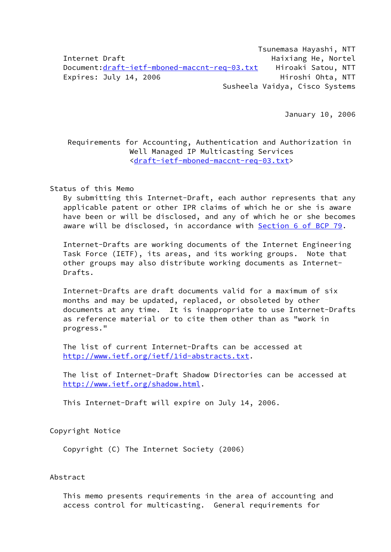Tsunemasa Hayashi, NTT Internet Draft **Haixiang He, Nortel** Haixiang He, Nortel Document:[draft-ietf-mboned-maccnt-req-03.txt](https://datatracker.ietf.org/doc/pdf/draft-ietf-mboned-maccnt-req-03.txt) Hiroaki Satou, NTT Expires: July 14, 2006 Hiroshi Ohta, NTT Susheela Vaidya, Cisco Systems

January 10, 2006

 Requirements for Accounting, Authentication and Authorization in Well Managed IP Multicasting Services [<draft-ietf-mboned-maccnt-req-03.txt](https://datatracker.ietf.org/doc/pdf/draft-ietf-mboned-maccnt-req-03.txt)>

Status of this Memo

 By submitting this Internet-Draft, each author represents that any applicable patent or other IPR claims of which he or she is aware have been or will be disclosed, and any of which he or she becomes aware will be disclosed, in accordance with Section [6 of BCP 79](https://datatracker.ietf.org/doc/pdf/bcp79#section-6).

 Internet-Drafts are working documents of the Internet Engineering Task Force (IETF), its areas, and its working groups. Note that other groups may also distribute working documents as Internet- Drafts.

 Internet-Drafts are draft documents valid for a maximum of six months and may be updated, replaced, or obsoleted by other documents at any time. It is inappropriate to use Internet-Drafts as reference material or to cite them other than as "work in progress."

 The list of current Internet-Drafts can be accessed at [http://www.ietf.org/ietf/1id-abstracts.txt.](http://www.ietf.org/ietf/1id-abstracts.txt)

 The list of Internet-Draft Shadow Directories can be accessed at <http://www.ietf.org/shadow.html>.

This Internet-Draft will expire on July 14, 2006.

Copyright Notice

Copyright (C) The Internet Society (2006)

Abstract

 This memo presents requirements in the area of accounting and access control for multicasting. General requirements for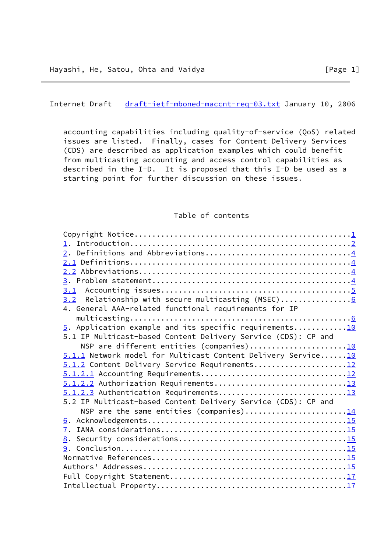<span id="page-1-0"></span>Internet Draft [draft-ietf-mboned-maccnt-req-03.txt](https://datatracker.ietf.org/doc/pdf/draft-ietf-mboned-maccnt-req-03.txt) January 10, 2006

 accounting capabilities including quality-of-service (QoS) related issues are listed. Finally, cases for Content Delivery Services (CDS) are described as application examples which could benefit from multicasting accounting and access control capabilities as described in the I-D. It is proposed that this I-D be used as a starting point for further discussion on these issues.

# Table of contents

| 2. Definitions and Abbreviations4                             |  |
|---------------------------------------------------------------|--|
|                                                               |  |
|                                                               |  |
|                                                               |  |
|                                                               |  |
| 3.2 Relationship with secure multicasting (MSEC)6             |  |
| 4. General AAA-related functional requirements for IP         |  |
|                                                               |  |
| $5.$ Application example and its specific requirements10      |  |
| 5.1 IP Multicast-based Content Delivery Service (CDS): CP and |  |
| NSP are different entities (companies)10                      |  |
| 5.1.1 Network model for Multicast Content Delivery Service10  |  |
| 5.1.2 Content Delivery Service Requirements12                 |  |
|                                                               |  |
|                                                               |  |
|                                                               |  |
| 5.2 IP Multicast-based Content Delivery Service (CDS): CP and |  |
| NSP are the same entities (companies)14                       |  |
|                                                               |  |
|                                                               |  |
|                                                               |  |
|                                                               |  |
|                                                               |  |
|                                                               |  |
|                                                               |  |
|                                                               |  |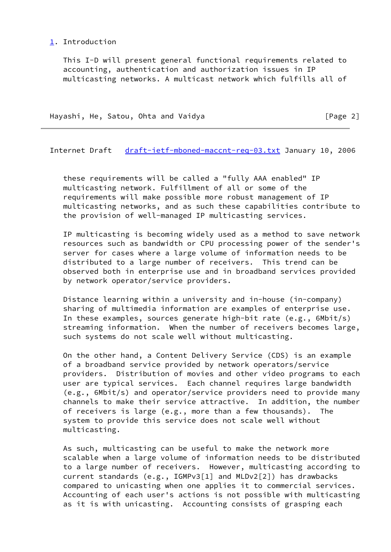### <span id="page-2-0"></span>[1.](#page-2-0) Introduction

 This I-D will present general functional requirements related to accounting, authentication and authorization issues in IP multicasting networks. A multicast network which fulfills all of

| Hayashi, He, Satou, Ohta and Vaidya |  | [Page 2] |
|-------------------------------------|--|----------|
|-------------------------------------|--|----------|

Internet Draft [draft-ietf-mboned-maccnt-req-03.txt](https://datatracker.ietf.org/doc/pdf/draft-ietf-mboned-maccnt-req-03.txt) January 10, 2006

 these requirements will be called a "fully AAA enabled" IP multicasting network. Fulfillment of all or some of the requirements will make possible more robust management of IP multicasting networks, and as such these capabilities contribute to the provision of well-managed IP multicasting services.

 IP multicasting is becoming widely used as a method to save network resources such as bandwidth or CPU processing power of the sender's server for cases where a large volume of information needs to be distributed to a large number of receivers. This trend can be observed both in enterprise use and in broadband services provided by network operator/service providers.

 Distance learning within a university and in-house (in-company) sharing of multimedia information are examples of enterprise use. In these examples, sources generate high-bit rate (e.g., 6Mbit/s) streaming information. When the number of receivers becomes large, such systems do not scale well without multicasting.

 On the other hand, a Content Delivery Service (CDS) is an example of a broadband service provided by network operators/service providers. Distribution of movies and other video programs to each user are typical services. Each channel requires large bandwidth (e.g., 6Mbit/s) and operator/service providers need to provide many channels to make their service attractive. In addition, the number of receivers is large (e.g., more than a few thousands). The system to provide this service does not scale well without multicasting.

 As such, multicasting can be useful to make the network more scalable when a large volume of information needs to be distributed to a large number of receivers. However, multicasting according to current standards (e.g., IGMPv3[1] and MLDv2[2]) has drawbacks compared to unicasting when one applies it to commercial services. Accounting of each user's actions is not possible with multicasting as it is with unicasting. Accounting consists of grasping each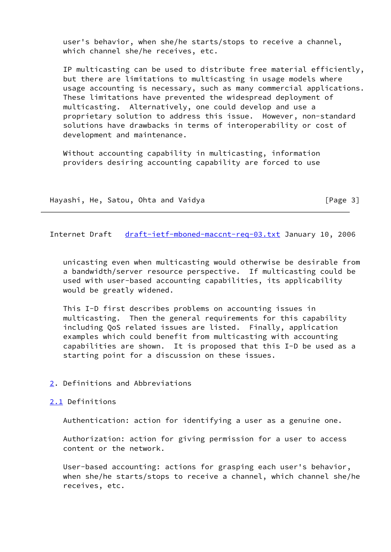user's behavior, when she/he starts/stops to receive a channel, which channel she/he receives, etc.

 IP multicasting can be used to distribute free material efficiently, but there are limitations to multicasting in usage models where usage accounting is necessary, such as many commercial applications. These limitations have prevented the widespread deployment of multicasting. Alternatively, one could develop and use a proprietary solution to address this issue. However, non-standard solutions have drawbacks in terms of interoperability or cost of development and maintenance.

 Without accounting capability in multicasting, information providers desiring accounting capability are forced to use

Hayashi, He, Satou, Ohta and Vaidya **Example 20** [Page 3]

<span id="page-3-1"></span>Internet Draft [draft-ietf-mboned-maccnt-req-03.txt](https://datatracker.ietf.org/doc/pdf/draft-ietf-mboned-maccnt-req-03.txt) January 10, 2006

 unicasting even when multicasting would otherwise be desirable from a bandwidth/server resource perspective. If multicasting could be used with user-based accounting capabilities, its applicability would be greatly widened.

 This I-D first describes problems on accounting issues in multicasting. Then the general requirements for this capability including QoS related issues are listed. Finally, application examples which could benefit from multicasting with accounting capabilities are shown. It is proposed that this I-D be used as a starting point for a discussion on these issues.

<span id="page-3-0"></span>[2.](#page-3-0) Definitions and Abbreviations

### <span id="page-3-2"></span>[2.1](#page-3-2) Definitions

Authentication: action for identifying a user as a genuine one.

 Authorization: action for giving permission for a user to access content or the network.

 User-based accounting: actions for grasping each user's behavior, when she/he starts/stops to receive a channel, which channel she/he receives, etc.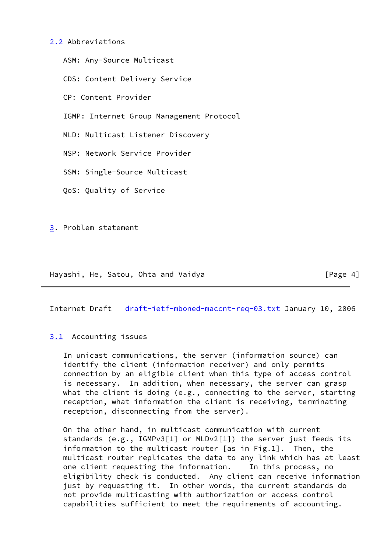### <span id="page-4-0"></span>[2.2](#page-4-0) Abbreviations

 ASM: Any-Source Multicast CDS: Content Delivery Service CP: Content Provider IGMP: Internet Group Management Protocol MLD: Multicast Listener Discovery NSP: Network Service Provider SSM: Single-Source Multicast QoS: Quality of Service

<span id="page-4-1"></span>[3.](#page-4-1) Problem statement

Hayashi, He, Satou, Ohta and Vaidya **Example 2018** [Page 4]

<span id="page-4-3"></span>Internet Draft [draft-ietf-mboned-maccnt-req-03.txt](https://datatracker.ietf.org/doc/pdf/draft-ietf-mboned-maccnt-req-03.txt) January 10, 2006

### <span id="page-4-2"></span>[3.1](#page-4-2) Accounting issues

 In unicast communications, the server (information source) can identify the client (information receiver) and only permits connection by an eligible client when this type of access control is necessary. In addition, when necessary, the server can grasp what the client is doing (e.g., connecting to the server, starting reception, what information the client is receiving, terminating reception, disconnecting from the server).

 On the other hand, in multicast communication with current standards (e.g., IGMPv3[1] or MLDv2[1]) the server just feeds its information to the multicast router [as in Fig.1]. Then, the multicast router replicates the data to any link which has at least one client requesting the information. In this process, no eligibility check is conducted. Any client can receive information just by requesting it. In other words, the current standards do not provide multicasting with authorization or access control capabilities sufficient to meet the requirements of accounting.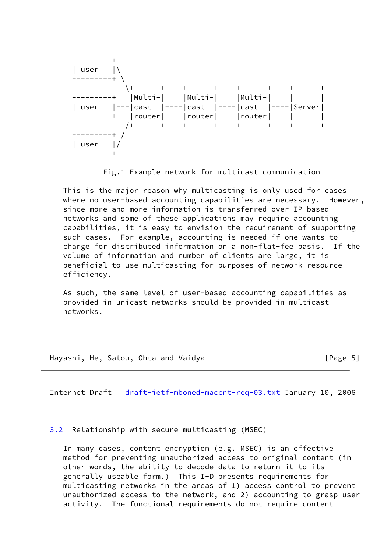

Fig.1 Example network for multicast communication

 This is the major reason why multicasting is only used for cases where no user-based accounting capabilities are necessary. However, since more and more information is transferred over IP-based networks and some of these applications may require accounting capabilities, it is easy to envision the requirement of supporting such cases. For example, accounting is needed if one wants to charge for distributed information on a non-flat-fee basis. If the volume of information and number of clients are large, it is beneficial to use multicasting for purposes of network resource efficiency.

 As such, the same level of user-based accounting capabilities as provided in unicast networks should be provided in multicast networks.

Hayashi, He, Satou, Ohta and Vaidya **Example 20 For the Solution Club** [Page 5]

<span id="page-5-1"></span>Internet Draft [draft-ietf-mboned-maccnt-req-03.txt](https://datatracker.ietf.org/doc/pdf/draft-ietf-mboned-maccnt-req-03.txt) January 10, 2006

<span id="page-5-0"></span>[3.2](#page-5-0) Relationship with secure multicasting (MSEC)

 In many cases, content encryption (e.g. MSEC) is an effective method for preventing unauthorized access to original content (in other words, the ability to decode data to return it to its generally useable form.) This I-D presents requirements for multicasting networks in the areas of 1) access control to prevent unauthorized access to the network, and 2) accounting to grasp user activity. The functional requirements do not require content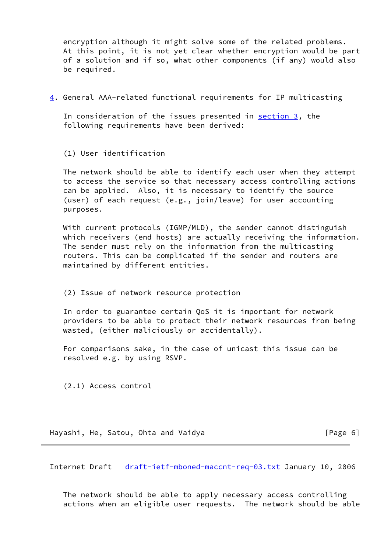encryption although it might solve some of the related problems. At this point, it is not yet clear whether encryption would be part of a solution and if so, what other components (if any) would also be required.

<span id="page-6-0"></span>[4.](#page-6-0) General AAA-related functional requirements for IP multicasting

 In consideration of the issues presented in [section 3,](#page-4-1) the following requirements have been derived:

(1) User identification

 The network should be able to identify each user when they attempt to access the service so that necessary access controlling actions can be applied. Also, it is necessary to identify the source (user) of each request (e.g., join/leave) for user accounting purposes.

 With current protocols (IGMP/MLD), the sender cannot distinguish which receivers (end hosts) are actually receiving the information. The sender must rely on the information from the multicasting routers. This can be complicated if the sender and routers are maintained by different entities.

(2) Issue of network resource protection

 In order to guarantee certain QoS it is important for network providers to be able to protect their network resources from being wasted, (either maliciously or accidentally).

 For comparisons sake, in the case of unicast this issue can be resolved e.g. by using RSVP.

(2.1) Access control

Hayashi, He, Satou, Ohta and Vaidya **Franklin** (Page 6)

Internet Draft [draft-ietf-mboned-maccnt-req-03.txt](https://datatracker.ietf.org/doc/pdf/draft-ietf-mboned-maccnt-req-03.txt) January 10, 2006

 The network should be able to apply necessary access controlling actions when an eligible user requests. The network should be able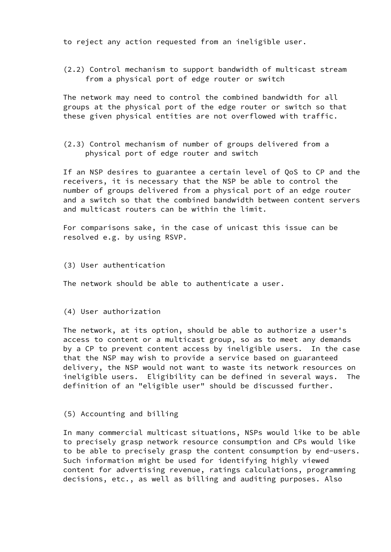to reject any action requested from an ineligible user.

 (2.2) Control mechanism to support bandwidth of multicast stream from a physical port of edge router or switch

 The network may need to control the combined bandwidth for all groups at the physical port of the edge router or switch so that these given physical entities are not overflowed with traffic.

 (2.3) Control mechanism of number of groups delivered from a physical port of edge router and switch

 If an NSP desires to guarantee a certain level of QoS to CP and the receivers, it is necessary that the NSP be able to control the number of groups delivered from a physical port of an edge router and a switch so that the combined bandwidth between content servers and multicast routers can be within the limit.

 For comparisons sake, in the case of unicast this issue can be resolved e.g. by using RSVP.

(3) User authentication

The network should be able to authenticate a user.

(4) User authorization

 The network, at its option, should be able to authorize a user's access to content or a multicast group, so as to meet any demands by a CP to prevent content access by ineligible users. In the case that the NSP may wish to provide a service based on guaranteed delivery, the NSP would not want to waste its network resources on ineligible users. Eligibility can be defined in several ways. The definition of an "eligible user" should be discussed further.

# (5) Accounting and billing

 In many commercial multicast situations, NSPs would like to be able to precisely grasp network resource consumption and CPs would like to be able to precisely grasp the content consumption by end-users. Such information might be used for identifying highly viewed content for advertising revenue, ratings calculations, programming decisions, etc., as well as billing and auditing purposes. Also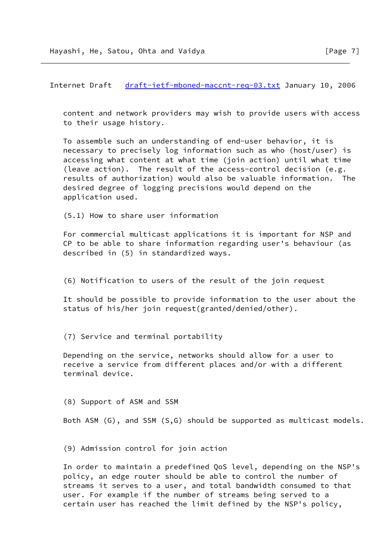Internet Draft [draft-ietf-mboned-maccnt-req-03.txt](https://datatracker.ietf.org/doc/pdf/draft-ietf-mboned-maccnt-req-03.txt) January 10, 2006

 content and network providers may wish to provide users with access to their usage history.

 To assemble such an understanding of end-user behavior, it is necessary to precisely log information such as who (host/user) is accessing what content at what time (join action) until what time (leave action). The result of the access-control decision (e.g. results of authorization) would also be valuable information. The desired degree of logging precisions would depend on the application used.

(5.1) How to share user information

 For commercial multicast applications it is important for NSP and CP to be able to share information regarding user's behaviour (as described in (5) in standardized ways.

(6) Notification to users of the result of the join request

 It should be possible to provide information to the user about the status of his/her join request(granted/denied/other).

(7) Service and terminal portability

 Depending on the service, networks should allow for a user to receive a service from different places and/or with a different terminal device.

(8) Support of ASM and SSM

Both ASM (G), and SSM (S,G) should be supported as multicast models.

(9) Admission control for join action

 In order to maintain a predefined QoS level, depending on the NSP's policy, an edge router should be able to control the number of streams it serves to a user, and total bandwidth consumed to that user. For example if the number of streams being served to a certain user has reached the limit defined by the NSP's policy,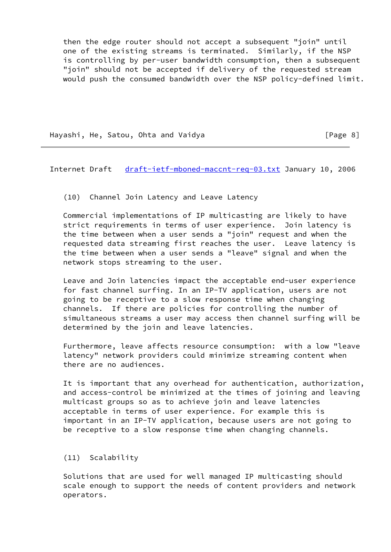then the edge router should not accept a subsequent "join" until one of the existing streams is terminated. Similarly, if the NSP is controlling by per-user bandwidth consumption, then a subsequent "join" should not be accepted if delivery of the requested stream would push the consumed bandwidth over the NSP policy-defined limit.

Hayashi, He, Satou, Ohta and Vaidya **Example 2018** [Page 8]

Internet Draft [draft-ietf-mboned-maccnt-req-03.txt](https://datatracker.ietf.org/doc/pdf/draft-ietf-mboned-maccnt-req-03.txt) January 10, 2006

(10) Channel Join Latency and Leave Latency

 Commercial implementations of IP multicasting are likely to have strict requirements in terms of user experience. Join latency is the time between when a user sends a "join" request and when the requested data streaming first reaches the user. Leave latency is the time between when a user sends a "leave" signal and when the network stops streaming to the user.

 Leave and Join latencies impact the acceptable end-user experience for fast channel surfing. In an IP-TV application, users are not going to be receptive to a slow response time when changing channels. If there are policies for controlling the number of simultaneous streams a user may access then channel surfing will be determined by the join and leave latencies.

 Furthermore, leave affects resource consumption: with a low "leave latency" network providers could minimize streaming content when there are no audiences.

 It is important that any overhead for authentication, authorization, and access-control be minimized at the times of joining and leaving multicast groups so as to achieve join and leave latencies acceptable in terms of user experience. For example this is important in an IP-TV application, because users are not going to be receptive to a slow response time when changing channels.

#### (11) Scalability

 Solutions that are used for well managed IP multicasting should scale enough to support the needs of content providers and network operators.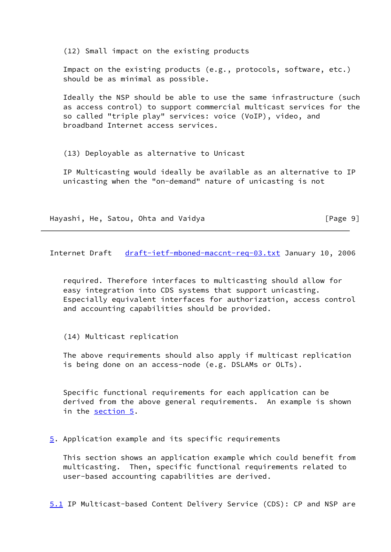(12) Small impact on the existing products

 Impact on the existing products (e.g., protocols, software, etc.) should be as minimal as possible.

 Ideally the NSP should be able to use the same infrastructure (such as access control) to support commercial multicast services for the so called "triple play" services: voice (VoIP), video, and broadband Internet access services.

(13) Deployable as alternative to Unicast

 IP Multicasting would ideally be available as an alternative to IP unicasting when the "on-demand" nature of unicasting is not

Hayashi, He, Satou, Ohta and Vaidya **Example 2018** [Page 9]

<span id="page-10-1"></span>Internet Draft [draft-ietf-mboned-maccnt-req-03.txt](https://datatracker.ietf.org/doc/pdf/draft-ietf-mboned-maccnt-req-03.txt) January 10, 2006

 required. Therefore interfaces to multicasting should allow for easy integration into CDS systems that support unicasting. Especially equivalent interfaces for authorization, access control and accounting capabilities should be provided.

(14) Multicast replication

 The above requirements should also apply if multicast replication is being done on an access-node (e.g. DSLAMs or OLTs).

 Specific functional requirements for each application can be derived from the above general requirements. An example is shown in the [section 5](#page-10-0).

<span id="page-10-0"></span>[5.](#page-10-0) Application example and its specific requirements

 This section shows an application example which could benefit from multicasting. Then, specific functional requirements related to user-based accounting capabilities are derived.

<span id="page-10-2"></span>[5.1](#page-10-2) IP Multicast-based Content Delivery Service (CDS): CP and NSP are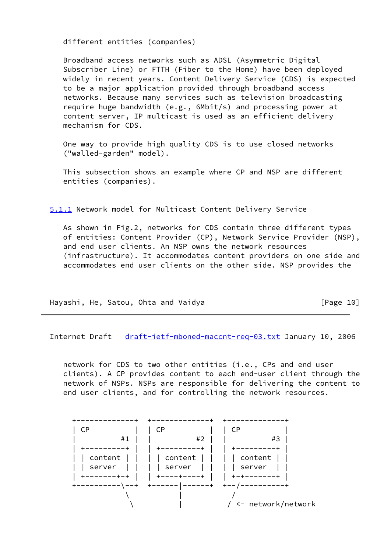different entities (companies)

 Broadband access networks such as ADSL (Asymmetric Digital Subscriber Line) or FTTH (Fiber to the Home) have been deployed widely in recent years. Content Delivery Service (CDS) is expected to be a major application provided through broadband access networks. Because many services such as television broadcasting require huge bandwidth (e.g., 6Mbit/s) and processing power at content server, IP multicast is used as an efficient delivery mechanism for CDS.

 One way to provide high quality CDS is to use closed networks ("walled-garden" model).

 This subsection shows an example where CP and NSP are different entities (companies).

<span id="page-11-0"></span>[5.1.1](#page-11-0) Network model for Multicast Content Delivery Service

 As shown in Fig.2, networks for CDS contain three different types of entities: Content Provider (CP), Network Service Provider (NSP), and end user clients. An NSP owns the network resources (infrastructure). It accommodates content providers on one side and accommodates end user clients on the other side. NSP provides the

Hayashi, He, Satou, Ohta and Vaidya **Frankline (Page 10)** 

Internet Draft [draft-ietf-mboned-maccnt-req-03.txt](https://datatracker.ietf.org/doc/pdf/draft-ietf-mboned-maccnt-req-03.txt) January 10, 2006

 network for CDS to two other entities (i.e., CPs and end user clients). A CP provides content to each end-user client through the network of NSPs. NSPs are responsible for delivering the content to end user clients, and for controlling the network resources.

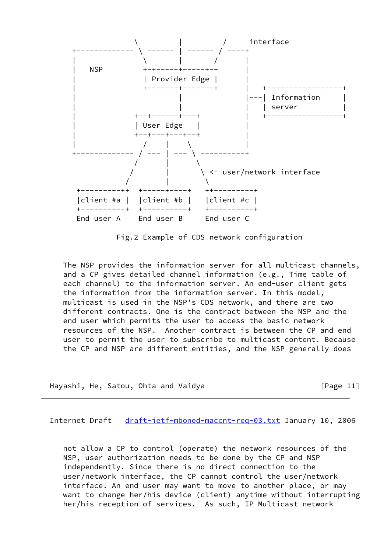

Fig.2 Example of CDS network configuration

 The NSP provides the information server for all multicast channels, and a CP gives detailed channel information (e.g., Time table of each channel) to the information server. An end-user client gets the information from the information server. In this model, multicast is used in the NSP's CDS network, and there are two different contracts. One is the contract between the NSP and the end user which permits the user to access the basic network resources of the NSP. Another contract is between the CP and end user to permit the user to subscribe to multicast content. Because the CP and NSP are different entities, and the NSP generally does

Hayashi, He, Satou, Ohta and Vaidya **Example 2018** [Page 11]

<span id="page-12-0"></span>Internet Draft [draft-ietf-mboned-maccnt-req-03.txt](https://datatracker.ietf.org/doc/pdf/draft-ietf-mboned-maccnt-req-03.txt) January 10, 2006

 not allow a CP to control (operate) the network resources of the NSP, user authorization needs to be done by the CP and NSP independently. Since there is no direct connection to the user/network interface, the CP cannot control the user/network interface. An end user may want to move to another place, or may want to change her/his device (client) anytime without interrupting her/his reception of services. As such, IP Multicast network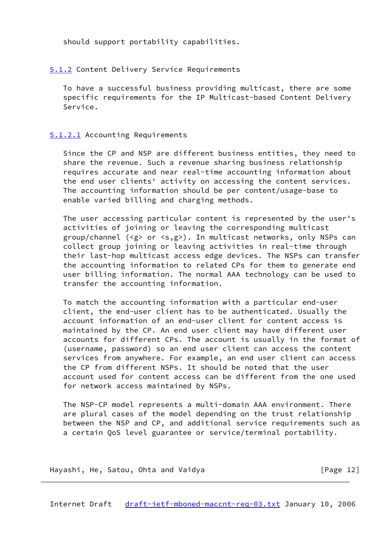should support portability capabilities.

# <span id="page-13-0"></span>[5.1.2](#page-13-0) Content Delivery Service Requirements

 To have a successful business providing multicast, there are some specific requirements for the IP Multicast-based Content Delivery Service.

# <span id="page-13-1"></span>[5.1.2.1](#page-13-1) Accounting Requirements

 Since the CP and NSP are different business entities, they need to share the revenue. Such a revenue sharing business relationship requires accurate and near real-time accounting information about the end user clients' activity on accessing the content services. The accounting information should be per content/usage-base to enable varied billing and charging methods.

 The user accessing particular content is represented by the user's activities of joining or leaving the corresponding multicast group/channel (<g> or <s,g>). In multicast networks, only NSPs can collect group joining or leaving activities in real-time through their last-hop multicast access edge devices. The NSPs can transfer the accounting information to related CPs for them to generate end user billing information. The normal AAA technology can be used to transfer the accounting information.

 To match the accounting information with a particular end-user client, the end-user client has to be authenticated. Usually the account information of an end-user client for content access is maintained by the CP. An end user client may have different user accounts for different CPs. The account is usually in the format of (username, password) so an end user client can access the content services from anywhere. For example, an end user client can access the CP from different NSPs. It should be noted that the user account used for content access can be different from the one used for network access maintained by NSPs.

 The NSP-CP model represents a multi-domain AAA environment. There are plural cases of the model depending on the trust relationship between the NSP and CP, and additional service requirements such as a certain QoS level guarantee or service/terminal portability.

Hayashi, He, Satou, Ohta and Vaidya **Example 20** [Page 12]

<span id="page-13-2"></span>Internet Draft [draft-ietf-mboned-maccnt-req-03.txt](https://datatracker.ietf.org/doc/pdf/draft-ietf-mboned-maccnt-req-03.txt) January 10, 2006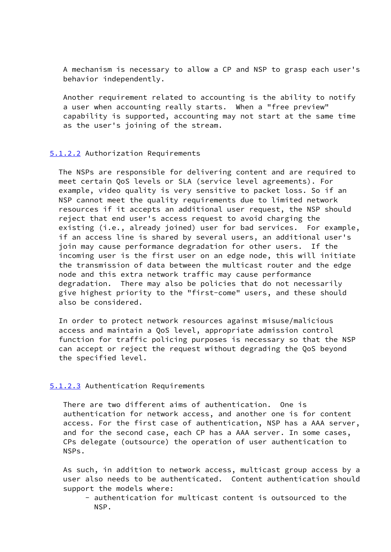A mechanism is necessary to allow a CP and NSP to grasp each user's behavior independently.

 Another requirement related to accounting is the ability to notify a user when accounting really starts. When a "free preview" capability is supported, accounting may not start at the same time as the user's joining of the stream.

### <span id="page-14-0"></span>[5.1.2.2](#page-14-0) Authorization Requirements

 The NSPs are responsible for delivering content and are required to meet certain QoS levels or SLA (service level agreements). For example, video quality is very sensitive to packet loss. So if an NSP cannot meet the quality requirements due to limited network resources if it accepts an additional user request, the NSP should reject that end user's access request to avoid charging the existing (i.e., already joined) user for bad services. For example, if an access line is shared by several users, an additional user's join may cause performance degradation for other users. If the incoming user is the first user on an edge node, this will initiate the transmission of data between the multicast router and the edge node and this extra network traffic may cause performance degradation. There may also be policies that do not necessarily give highest priority to the "first-come" users, and these should also be considered.

 In order to protect network resources against misuse/malicious access and maintain a QoS level, appropriate admission control function for traffic policing purposes is necessary so that the NSP can accept or reject the request without degrading the QoS beyond the specified level.

# <span id="page-14-1"></span>[5.1.2.3](#page-14-1) Authentication Requirements

 There are two different aims of authentication. One is authentication for network access, and another one is for content access. For the first case of authentication, NSP has a AAA server, and for the second case, each CP has a AAA server. In some cases, CPs delegate (outsource) the operation of user authentication to NSPs.

 As such, in addition to network access, multicast group access by a user also needs to be authenticated. Content authentication should support the models where:

 - authentication for multicast content is outsourced to the NSP.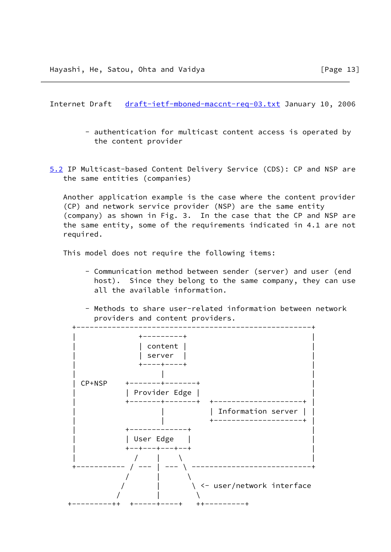<span id="page-15-0"></span>Internet Draft [draft-ietf-mboned-maccnt-req-03.txt](https://datatracker.ietf.org/doc/pdf/draft-ietf-mboned-maccnt-req-03.txt) January 10, 2006

- authentication for multicast content access is operated by the content provider
- <span id="page-15-1"></span> [5.2](#page-15-1) IP Multicast-based Content Delivery Service (CDS): CP and NSP are the same entities (companies)

 Another application example is the case where the content provider (CP) and network service provider (NSP) are the same entity (company) as shown in Fig. 3. In the case that the CP and NSP are the same entity, some of the requirements indicated in 4.1 are not required.

This model does not require the following items:

- Communication method between sender (server) and user (end host). Since they belong to the same company, they can use all the available information.
- Methods to share user-related information between network providers and content providers.

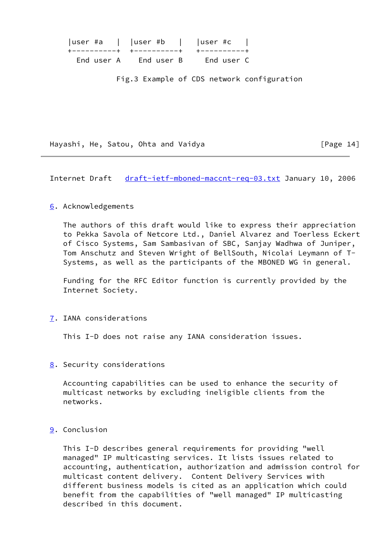| $ $ user #a $ $ $ $ user #b $ $ $ $ user #c $ $ |            |
|-------------------------------------------------|------------|
| +-----------+ +----------+ +---------+          |            |
| End user A – End user B                         | End user C |

Fig.3 Example of CDS network configuration

Hayashi, He, Satou, Ohta and Vaidya **Example 20 and Server** [Page 14]

<span id="page-16-1"></span>Internet Draft [draft-ietf-mboned-maccnt-req-03.txt](https://datatracker.ietf.org/doc/pdf/draft-ietf-mboned-maccnt-req-03.txt) January 10, 2006

# <span id="page-16-0"></span>[6.](#page-16-0) Acknowledgements

 The authors of this draft would like to express their appreciation to Pekka Savola of Netcore Ltd., Daniel Alvarez and Toerless Eckert of Cisco Systems, Sam Sambasivan of SBC, Sanjay Wadhwa of Juniper, Tom Anschutz and Steven Wright of BellSouth, Nicolai Leymann of T- Systems, as well as the participants of the MBONED WG in general.

 Funding for the RFC Editor function is currently provided by the Internet Society.

<span id="page-16-2"></span>[7.](#page-16-2) IANA considerations

This I-D does not raise any IANA consideration issues.

<span id="page-16-3"></span>[8.](#page-16-3) Security considerations

 Accounting capabilities can be used to enhance the security of multicast networks by excluding ineligible clients from the networks.

# <span id="page-16-4"></span>[9.](#page-16-4) Conclusion

 This I-D describes general requirements for providing "well managed" IP multicasting services. It lists issues related to accounting, authentication, authorization and admission control for multicast content delivery. Content Delivery Services with different business models is cited as an application which could benefit from the capabilities of "well managed" IP multicasting described in this document.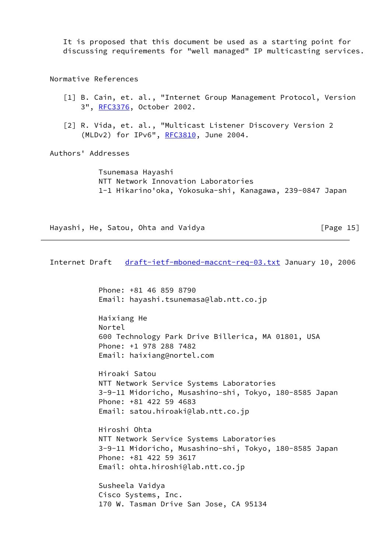It is proposed that this document be used as a starting point for discussing requirements for "well managed" IP multicasting services.

Normative References

- [1] B. Cain, et. al., "Internet Group Management Protocol, Version 3", [RFC3376](https://datatracker.ietf.org/doc/pdf/rfc3376), October 2002.
- [2] R. Vida, et. al., "Multicast Listener Discovery Version 2 (MLDv2) for IPv6", [RFC3810](https://datatracker.ietf.org/doc/pdf/rfc3810), June 2004.

Authors' Addresses

 Tsunemasa Hayashi NTT Network Innovation Laboratories 1-1 Hikarino'oka, Yokosuka-shi, Kanagawa, 239-0847 Japan

```
Hayashi, He, Satou, Ohta and Vaidya Franklin [Page 15]
```
Internet Draft [draft-ietf-mboned-maccnt-req-03.txt](https://datatracker.ietf.org/doc/pdf/draft-ietf-mboned-maccnt-req-03.txt) January 10, 2006

 Phone: +81 46 859 8790 Email: hayashi.tsunemasa@lab.ntt.co.jp

 Haixiang He Nortel 600 Technology Park Drive Billerica, MA 01801, USA Phone: +1 978 288 7482 Email: haixiang@nortel.com

 Hiroaki Satou NTT Network Service Systems Laboratories 3-9-11 Midoricho, Musashino-shi, Tokyo, 180-8585 Japan Phone: +81 422 59 4683 Email: satou.hiroaki@lab.ntt.co.jp

 Hiroshi Ohta NTT Network Service Systems Laboratories 3-9-11 Midoricho, Musashino-shi, Tokyo, 180-8585 Japan Phone: +81 422 59 3617 Email: ohta.hiroshi@lab.ntt.co.jp

 Susheela Vaidya Cisco Systems, Inc. 170 W. Tasman Drive San Jose, CA 95134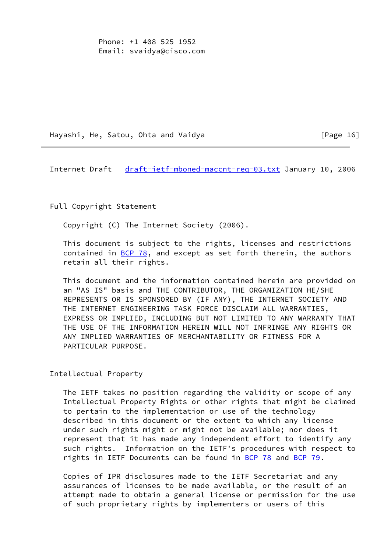Phone: +1 408 525 1952 Email: svaidya@cisco.com

Hayashi, He, Satou, Ohta and Vaidya **Fig. 16** [Page 16]

<span id="page-18-0"></span>Internet Draft [draft-ietf-mboned-maccnt-req-03.txt](https://datatracker.ietf.org/doc/pdf/draft-ietf-mboned-maccnt-req-03.txt) January 10, 2006

Full Copyright Statement

Copyright (C) The Internet Society (2006).

 This document is subject to the rights, licenses and restrictions contained in  $BCP$  78, and except as set forth therein, the authors retain all their rights.

 This document and the information contained herein are provided on an "AS IS" basis and THE CONTRIBUTOR, THE ORGANIZATION HE/SHE REPRESENTS OR IS SPONSORED BY (IF ANY), THE INTERNET SOCIETY AND THE INTERNET ENGINEERING TASK FORCE DISCLAIM ALL WARRANTIES, EXPRESS OR IMPLIED, INCLUDING BUT NOT LIMITED TO ANY WARRANTY THAT THE USE OF THE INFORMATION HEREIN WILL NOT INFRINGE ANY RIGHTS OR ANY IMPLIED WARRANTIES OF MERCHANTABILITY OR FITNESS FOR A PARTICULAR PURPOSE.

Intellectual Property

 The IETF takes no position regarding the validity or scope of any Intellectual Property Rights or other rights that might be claimed to pertain to the implementation or use of the technology described in this document or the extent to which any license under such rights might or might not be available; nor does it represent that it has made any independent effort to identify any such rights. Information on the IETF's procedures with respect to rights in IETF Documents can be found in [BCP 78](https://datatracker.ietf.org/doc/pdf/bcp78) and [BCP 79](https://datatracker.ietf.org/doc/pdf/bcp79).

 Copies of IPR disclosures made to the IETF Secretariat and any assurances of licenses to be made available, or the result of an attempt made to obtain a general license or permission for the use of such proprietary rights by implementers or users of this